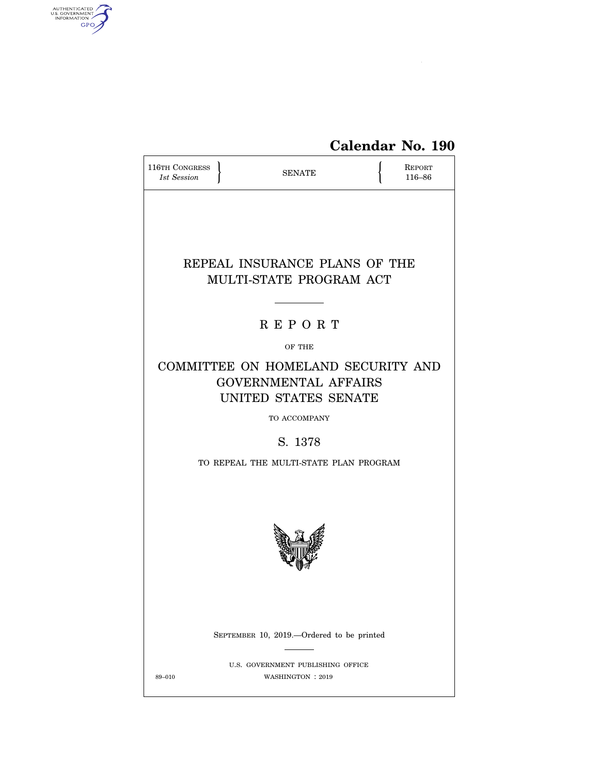

| 116TH CONGRESS<br>1st Session                                                                             | <b>SENATE</b>                                         |  | REPORT<br>116-86 |  |  |  |
|-----------------------------------------------------------------------------------------------------------|-------------------------------------------------------|--|------------------|--|--|--|
| REPEAL INSURANCE PLANS OF THE<br>MULTI-STATE PROGRAM ACT                                                  |                                                       |  |                  |  |  |  |
|                                                                                                           | <b>REPORT</b>                                         |  |                  |  |  |  |
|                                                                                                           | OF THE                                                |  |                  |  |  |  |
| COMMITTEE ON HOMELAND SECURITY AND<br><b>GOVERNMENTAL AFFAIRS</b><br>UNITED STATES SENATE<br>TO ACCOMPANY |                                                       |  |                  |  |  |  |
| S. 1378                                                                                                   |                                                       |  |                  |  |  |  |
| TO REPEAL THE MULTI-STATE PLAN PROGRAM                                                                    |                                                       |  |                  |  |  |  |
|                                                                                                           |                                                       |  |                  |  |  |  |
|                                                                                                           | SEPTEMBER 10, 2019.—Ordered to be printed             |  |                  |  |  |  |
| 89-010                                                                                                    | U.S. GOVERNMENT PUBLISHING OFFICE<br>WASHINGTON: 2019 |  |                  |  |  |  |

AUTHENTICATED<br>U.S. GOVERNMENT<br>INFORMATION<br>GPO

 $\widehat{\blacktriangle}$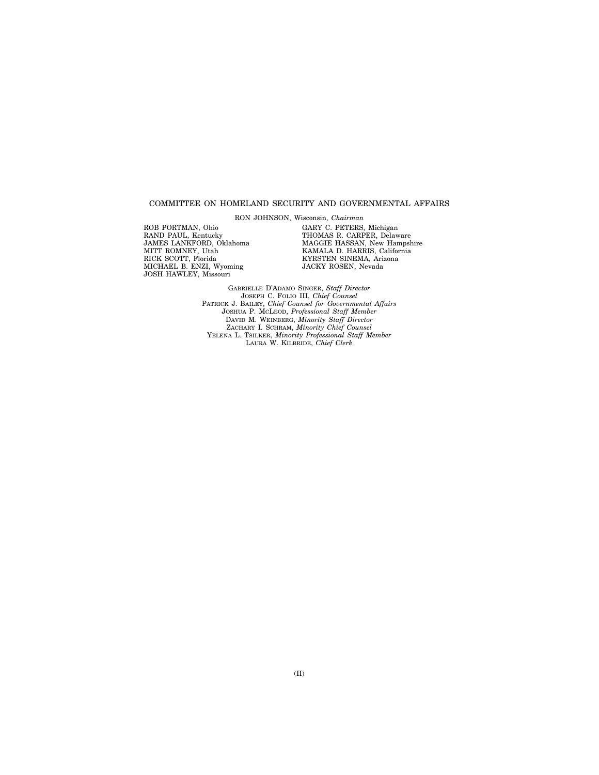#### COMMITTEE ON HOMELAND SECURITY AND GOVERNMENTAL AFFAIRS

RON JOHNSON, Wisconsin, *Chairman* 

ROB PORTMAN, Ohio RAND PAUL, Kentucky JAMES LANKFORD, Oklahoma MITT ROMNEY, Utah RICK SCOTT, Florida MICHAEL B. ENZI, Wyoming JOSH HAWLEY, Missouri

GARY C. PETERS, Michigan THOMAS R. CARPER, Delaware MAGGIE HASSAN, New Hampshire KAMALA D. HARRIS, California KYRSTEN SINEMA, Arizona JACKY ROSEN, Nevada

GABRIELLE D'ADAMO SINGER, *Staff Director*  JOSEPH C. FOLIO III, *Chief Counsel*  PATRICK J. BAILEY, *Chief Counsel for Governmental Affairs*  JOSHUA P. MCLEOD, *Professional Staff Member*  DAVID M. WEINBERG, *Minority Staff Director*  ZACHARY I. SCHRAM, *Minority Chief Counsel*  YELENA L. TSILKER, *Minority Professional Staff Member*  LAURA W. KILBRIDE, *Chief Clerk*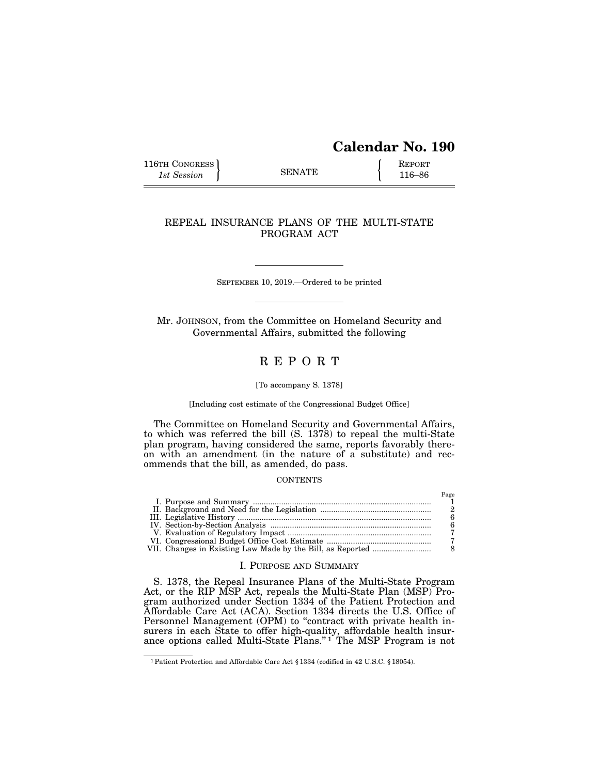# **Calendar No. 190**

 $P_{\alpha\alpha\alpha}$ 

116TH CONGRESS REPORT 116-86

# REPEAL INSURANCE PLANS OF THE MULTI-STATE PROGRAM ACT

SEPTEMBER 10, 2019.—Ordered to be printed

Mr. JOHNSON, from the Committee on Homeland Security and Governmental Affairs, submitted the following

# R E P O R T

#### [To accompany S. 1378]

#### [Including cost estimate of the Congressional Budget Office]

The Committee on Homeland Security and Governmental Affairs, to which was referred the bill (S. 1378) to repeal the multi-State plan program, having considered the same, reports favorably thereon with an amendment (in the nature of a substitute) and recommends that the bill, as amended, do pass.

#### **CONTENTS**

|  | 1 use |
|--|-------|
|  |       |
|  |       |
|  |       |
|  |       |
|  |       |
|  |       |
|  |       |

## I. PURPOSE AND SUMMARY

S. 1378, the Repeal Insurance Plans of the Multi-State Program Act, or the RIP MSP Act, repeals the Multi-State Plan (MSP) Program authorized under Section 1334 of the Patient Protection and Affordable Care Act (ACA). Section 1334 directs the U.S. Office of Personnel Management (OPM) to "contract with private health insurers in each State to offer high-quality, affordable health insurance options called Multi-State Plans."<sup>1</sup> The MSP Program is not

<sup>1</sup>Patient Protection and Affordable Care Act § 1334 (codified in 42 U.S.C. § 18054).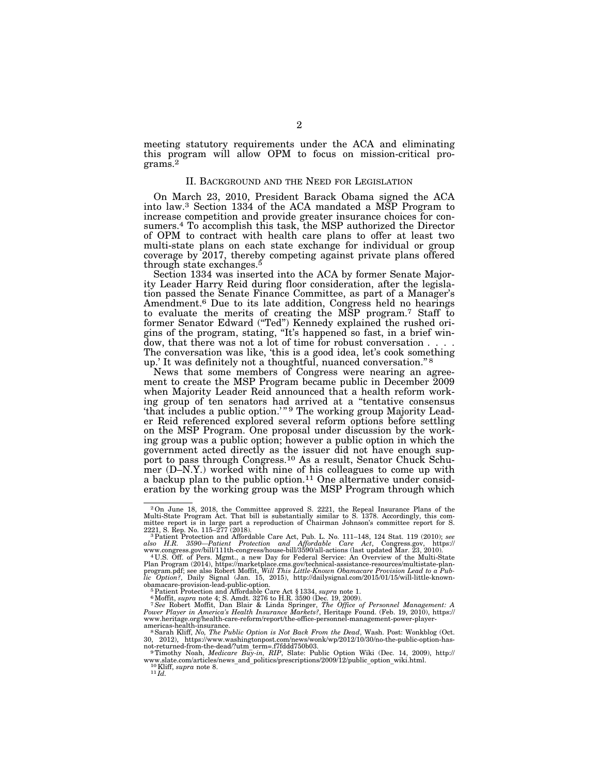meeting statutory requirements under the ACA and eliminating this program will allow OPM to focus on mission-critical programs.2

### II. BACKGROUND AND THE NEED FOR LEGISLATION

On March 23, 2010, President Barack Obama signed the ACA into law.3 Section 1334 of the ACA mandated a MSP Program to increase competition and provide greater insurance choices for consumers.4 To accomplish this task, the MSP authorized the Director of OPM to contract with health care plans to offer at least two multi-state plans on each state exchange for individual or group coverage by 2017, thereby competing against private plans offered through state exchanges.5

Section 1334 was inserted into the ACA by former Senate Majority Leader Harry Reid during floor consideration, after the legislation passed the Senate Finance Committee, as part of a Manager's Amendment.6 Due to its late addition, Congress held no hearings to evaluate the merits of creating the MSP program.7 Staff to former Senator Edward ("Ted") Kennedy explained the rushed origins of the program, stating, "It's happened so fast, in a brief window, that there was not a lot of time for robust conversation . . . . The conversation was like, 'this is a good idea, let's cook something up.' It was definitely not a thoughtful, nuanced conversation.'' 8

News that some members of Congress were nearing an agreement to create the MSP Program became public in December 2009 when Majority Leader Reid announced that a health reform working group of ten senators had arrived at a ''tentative consensus 'that includes a public option.'"<sup>9</sup> The working group Majority Leader Reid referenced explored several reform options before settling on the MSP Program. One proposal under discussion by the working group was a public option; however a public option in which the government acted directly as the issuer did not have enough support to pass through Congress.<sup>10</sup> As a result, Senator Chuck Schumer (D-N.Y.) worked with nine of his colleagues to come up with a backup plan to the public option.<sup>11</sup> One alternative under consideration by the working group was the MSP Program through which

<sup>2</sup>On June 18, 2018, the Committee approved S. 2221, the Repeal Insurance Plans of the Multi-State Program Act. That bill is substantially similar to S. 1378. Accordingly, this com-mittee report is in large part a reproduction of Chairman Johnson's committee report for S.

<sup>&</sup>lt;sup>3</sup> Patient Protection and Affordable Care Act, Pub. L. No. 111–148, 124 Stat. 119 (2010); see *also H.R. 3590—Patient Protection and Affordable Care Act*, Congress.gov, https://

www.congress.gov/bill/111th-congress/house-bill/3590/all-actions (last updated Mar. 23, 2010).<br><sup>4</sup> U.S. Off. of Pers. Mgmt., a new Day for Federal Service: An Overview of the Multi-State<br>Plan Program (2014), https://market *lic Option?*, Daily Signal (Jan. 15, 2015), http://dailysignal.com/2015/01/15/will-little-known-<br>obamacare-provision-lead-public-option.<br><sup>5</sup> Patient Protection and Affordable Care Act § 1334, *supra* note 1.

obamacare-provision-lead-public-option.<br>
<sup>5</sup> Patient Protection and Affordable Care Act § 1334, *supra* note 1.<br>
<sup>6</sup> Moffit, *supra* note 4; S. Amdt. 3276 to H.R. 3590 (Dec. 19, 2009).<br>
<sup>7</sup> See Robert Moffit, Dan Blair & L www.heritage.org/health-care-reform/report/the-office-personnel-management-power-player-

<sup>&</sup>lt;sup>8</sup> Sarah Kliff, *No, The Public Option is Not Back From the Dead*, Wash. Post: Wonkblog (Oct. 30, 2012), https://www.washingtonpost.com/news/wonk/wp/2012/10/30/no-the-public-option-has-

<sup>&</sup>lt;sup>9</sup>Timothy Noah, *Medicare Buy-in, RIP*, Slate: Public Option Wiki (Dec. 14, 2009), http:// www.slate.com/articles/news\_and\_politics/prescriptions/2009/12/public\_option\_wiki.html. 10Kliff, *supra* note 8. 11 *Id.*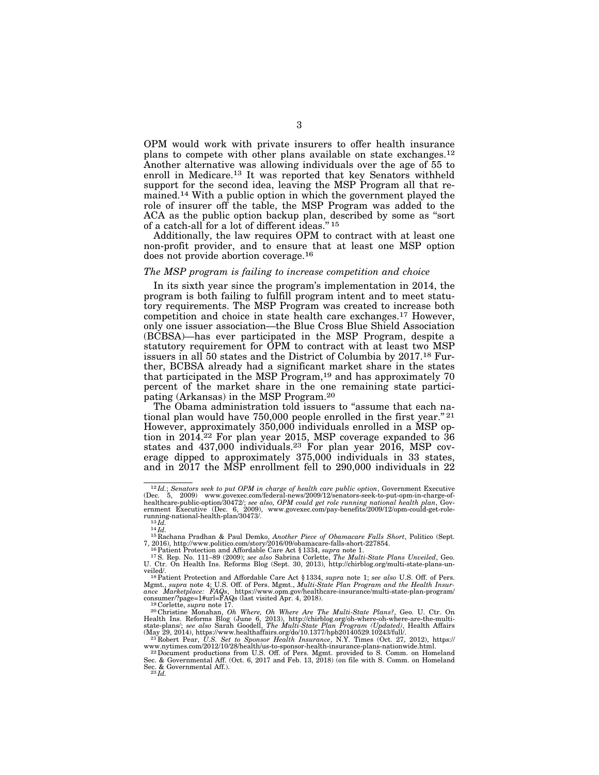OPM would work with private insurers to offer health insurance plans to compete with other plans available on state exchanges.12 Another alternative was allowing individuals over the age of 55 to enroll in Medicare.13 It was reported that key Senators withheld support for the second idea, leaving the MSP Program all that remained.14 With a public option in which the government played the role of insurer off the table, the MSP Program was added to the ACA as the public option backup plan, described by some as ''sort of a catch-all for a lot of different ideas."<sup>15</sup>

Additionally, the law requires OPM to contract with at least one non-profit provider, and to ensure that at least one MSP option does not provide abortion coverage.16

#### *The MSP program is failing to increase competition and choice*

In its sixth year since the program's implementation in 2014, the program is both failing to fulfill program intent and to meet statutory requirements. The MSP Program was created to increase both competition and choice in state health care exchanges.17 However, only one issuer association—the Blue Cross Blue Shield Association (BCBSA)—has ever participated in the MSP Program, despite a statutory requirement for OPM to contract with at least two MSP issuers in all 50 states and the District of Columbia by 2017.18 Further, BCBSA already had a significant market share in the states that participated in the MSP Program,19 and has approximately 70 percent of the market share in the one remaining state participating (Arkansas) in the MSP Program.20

The Obama administration told issuers to "assume that each national plan would have 750,000 people enrolled in the first year."<sup>21</sup> However, approximately 350,000 individuals enrolled in a MSP option in  $2014.22$  For plan year 2015, MSP coverage expanded to  $36$ states and 437,000 individuals.23 For plan year 2016, MSP coverage dipped to approximately 375,000 individuals in 33 states, and in 2017 the MSP enrollment fell to 290,000 individuals in 22

 $^{12}Id$ .; Senators seek to put OPM in charge of health care public option, Government Executive (Dec. 5, 2009) www.govexec.com/federal-news/2009/12/senators-seek-to-put-opm-in-charge-of-healthcare-public-option/30472/; se

running-national-health-plan/30473/.<br>
<sup>13</sup>*Id.*<br>
<sup>14</sup>*Id.*<br>
<sup>15</sup> Rachana Pradhan & Paul Demko, *Another Piece of Obamacare Falls Short*, Politico (Sept.<br>
7, 2016), http://www.politico.com/story/2016/09/obamacare-falls-shor

<sup>7, 2016),</sup> http://www.politico.com/story/2016/09/obamacare-falls-short-227854.<br><sup>16</sup> Patient Protection and Affordable Care Act § 1334, *supra* note 1.<br><sup>17</sup> S. Rep. No. 111–89 (2009); *see also* Sabrina Corlette, *The Multi-*

veiled/.<br><sup>18</sup> Patient Protection and Affordable Care Act § 1334, *supra* note 1; *see also* U.S. Off. of Pers.<br>Mgmt., *supra* note 4; U.S. Off. of Pers. Mgmt., *Multi-State Plan Program and the Health Insur-*<br>*ance Marketp* 

consumer??page=1#url=FAQs (last visited Apr. 4, 2018).<br><sup>120</sup>Corlette, *supra* note 17.<br><sup>20</sup>Christine Monahan, *Oh Where, Oh Where Are The Multi-State Plans?*, Geo. U. Ctr. On Health Ins. Reforms Blog (June 6, 2013), http:

www.nytimes.com/2012/10/28/health/us-to-sponsor-health-insurance-plans-nationwide.html. 22Document productions from U.S. Off. of Pers. Mgmt. provided to S. Comm. on Homeland

Sec. & Governmental Aff. (Oct. 6, 2017 and Feb. 13, 2018) (on file with S. Comm. on Homeland<br>Sec. & Governmental Aff.).<br><sup>23</sup>*Id.*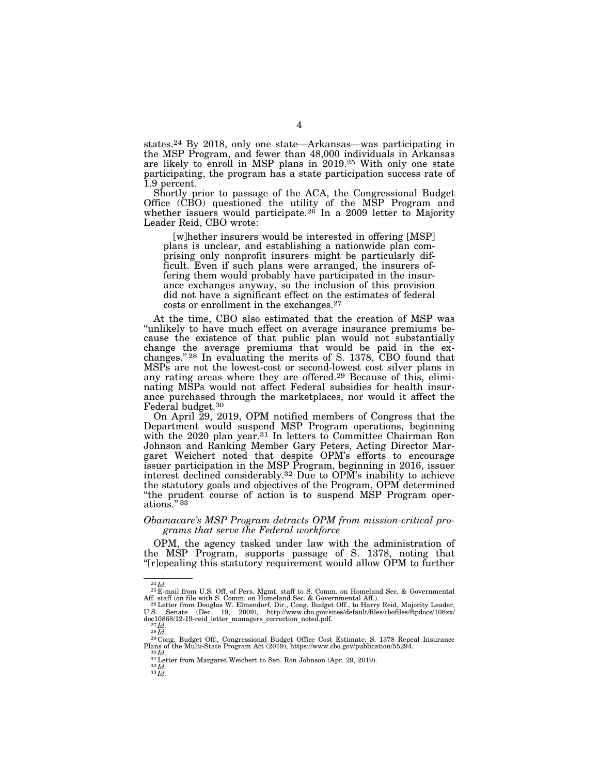states.24 By 2018, only one state—Arkansas—was participating in the MSP Program, and fewer than 48,000 individuals in Arkansas are likely to enroll in MSP plans in 2019.25 With only one state participating, the program has a state participation success rate of 1.9 percent.

Shortly prior to passage of the ACA, the Congressional Budget Office (CBO) questioned the utility of the MSP Program and whether issuers would participate.<sup>26</sup> In a 2009 letter to Majority Leader Reid, CBO wrote:

[w]hether insurers would be interested in offering [MSP] plans is unclear, and establishing a nationwide plan comprising only nonprofit insurers might be particularly difficult. Even if such plans were arranged, the insurers offering them would probably have participated in the insurance exchanges anyway, so the inclusion of this provision did not have a significant effect on the estimates of federal costs or enrollment in the exchanges.27

At the time, CBO also estimated that the creation of MSP was ''unlikely to have much effect on average insurance premiums because the existence of that public plan would not substantially change the average premiums that would be paid in the exchanges."<sup>28</sup> In evaluating the merits of S. 1378, CBO found that MSPs are not the lowest-cost or second-lowest cost silver plans in any rating areas where they are offered.29 Because of this, eliminating MSPs would not affect Federal subsidies for health insurance purchased through the marketplaces, nor would it affect the Federal budget.30

On April 29, 2019, OPM notified members of Congress that the Department would suspend MSP Program operations, beginning with the 2020 plan year.<sup>31</sup> In letters to Committee Chairman Ron Johnson and Ranking Member Gary Peters, Acting Director Margaret Weichert noted that despite OPM's efforts to encourage issuer participation in the MSP Program, beginning in 2016, issuer interest declined considerably.32 Due to OPM's inability to achieve the statutory goals and objectives of the Program, OPM determined "the prudent course of action is to suspend MSP Program operations.'' 33

#### *Obamacare's MSP Program detracts OPM from mission-critical programs that serve the Federal workforce*

OPM, the agency tasked under law with the administration of the MSP Program, supports passage of S. 1378, noting that "[r]epealing this statutory requirement would allow OPM to further

<sup>24</sup> *Id.* <sup>25</sup> E-mail from U.S. Off. of Pers. Mgmt. staff to S. Comm. on Homeland Sec. & Governmental

Aff. staff (on file with S. Comm. on Homeland Sec. & Governmental Aff.).<br><sup>28</sup>Letter from Douglas W. Elmendorf, Dir., Cong. Budget Off., to Harry Reid, Majority Leader,<br>U.S. Senate (Dec. 19, 2009), http://www

doc10868/12-19-reid\_letter\_managers\_correction\_noted.pdf.<br>
<sup>27</sup>*Id.*<br>
<sup>28</sup>*Id.*<br>
<sup>28</sup> *Id.*<br>
<sup>29</sup> Cong. Budget Off., Congressional Budget Office Cost Estimate: S. 1378 Repeal Insurance<br>
Plans of the Multi-State Program Act

Plans of the Multi-State Program Act (2019), https://www.cbo.gov/publication/55294. 30 *Id.* 31Letter from Margaret Weichert to Sen. Ron Johnson (Apr. 29, 2019). 32 *Id.* <sup>33</sup> *Id.*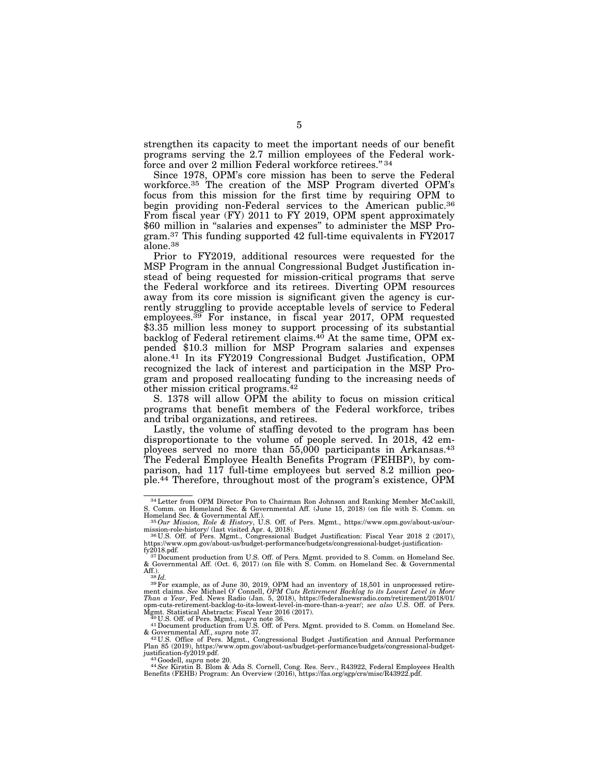strengthen its capacity to meet the important needs of our benefit programs serving the 2.7 million employees of the Federal workforce and over 2 million Federal workforce retirees." 34

Since 1978, OPM's core mission has been to serve the Federal workforce.35 The creation of the MSP Program diverted OPM's focus from this mission for the first time by requiring OPM to begin providing non-Federal services to the American public.<sup>36</sup> From fiscal year (FY) 2011 to FY 2019, OPM spent approximately \$60 million in "salaries and expenses" to administer the MSP Program.37 This funding supported 42 full-time equivalents in FY2017 alone.38

Prior to FY2019, additional resources were requested for the MSP Program in the annual Congressional Budget Justification instead of being requested for mission-critical programs that serve the Federal workforce and its retirees. Diverting OPM resources away from its core mission is significant given the agency is currently struggling to provide acceptable levels of service to Federal employees.39 For instance, in fiscal year 2017, OPM requested \$3.35 million less money to support processing of its substantial backlog of Federal retirement claims.<sup>40</sup> At the same time, OPM expended \$10.3 million for MSP Program salaries and expenses alone.41 In its FY2019 Congressional Budget Justification, OPM recognized the lack of interest and participation in the MSP Program and proposed reallocating funding to the increasing needs of other mission critical programs.42

S. 1378 will allow OPM the ability to focus on mission critical programs that benefit members of the Federal workforce, tribes and tribal organizations, and retirees.

Lastly, the volume of staffing devoted to the program has been disproportionate to the volume of people served. In 2018, 42 employees served no more than 55,000 participants in Arkansas.<sup>43</sup> The Federal Employee Health Benefits Program (FEHBP), by comparison, had 117 full-time employees but served 8.2 million people.44 Therefore, throughout most of the program's existence, OPM

Mgmt. Statistical Abstracts: Fiscal Year 2016 (2017).<br><sup>40</sup> U.S. Off. of Pers. Mgmt., *supr*a note 36.<br><sup>41</sup> Document production from U.S. Off. of Pers. Mgmt. provided to S. Comm. on Homeland Sec.

& Governmental Aff., *supra* note 37.<br><sup>421</sup>U.S. Office of Pers. Mgmt., Congressional Budget Justification and Annual Performance<br>Plan 85 (2019), https://www.opm.gov/about-us/budget-performance/budgets/congressional-budget-

<sup>34</sup>Letter from OPM Director Pon to Chairman Ron Johnson and Ranking Member McCaskill, S. Comm. on Homeland Sec. & Governmental Aff. (June 15, 2018) (on file with S. Comm. on

Homeland Sec. & Governmental Aff.).<br>
35*Our Mission, Role & History*, U.S. Off. of Pers. Mgmt., https://www.opm.gov/about-us/our-<br>
mission-role-history/ (last visited Apr. 4, 2018).

<sup>&</sup>lt;sup>36</sup>U.S. Off. of Pers. Mgmt., Congressional Budget Justification: Fiscal Year 2018 2 (2017), https://www.opm.gov/about-us/budget-performance/budgets/congressional-budget-justification-

fy2018.pdf.<br><sup>37</sup>Document production from U.S. Off. of Pers. Mgmt. provided to S. Comm. on Homeland Sec.<br>& Governmental Aff. (Oct. 6, 2017) (on file with S. Comm. on Homeland Sec. & Governmental

Aff.). 38 *Id.* 39For example, as of June 30, 2019, OPM had an inventory of 18,501 in unprocessed retire-ment claims. *See* Michael O' Connell, *OPM Cuts Retirement Backlog to its Lowest Level in More Than a Year*, Fed. News Radio (Jan. 5, 2018), https://federalnewsradio.com/retirement/2018/01/ opm-cuts-retirement-backlog-to-its-lowest-level-in-more-than-a-year/; *see also* U.S. Off. of Pers.

justification-fy2019.pdf.<br>- <sup>44</sup> Scoodell, *supra* note 20.<br>Beek Kirstin B. Blom & Ada S. Cornell, Cong. Res. Serv., R43922, Federal Employees Health<br>Benefits (FEHB) Program: An Overview (2016), https://fas.org/sgp/crs/mis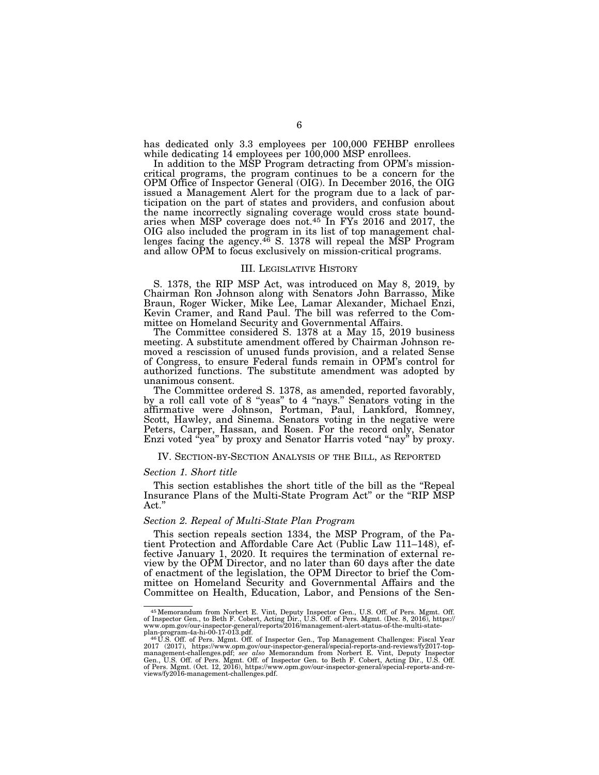has dedicated only 3.3 employees per 100,000 FEHBP enrollees while dedicating  $14$  employees per  $100,000$  MSP enrollees.

In addition to the MSP Program detracting from OPM's missioncritical programs, the program continues to be a concern for the OPM Office of Inspector General (OIG). In December 2016, the OIG issued a Management Alert for the program due to a lack of participation on the part of states and providers, and confusion about the name incorrectly signaling coverage would cross state boundaries when MSP coverage does not.45 In FYs 2016 and 2017, the OIG also included the program in its list of top management challenges facing the agency.<sup>46</sup> S. 1378 will repeal the MSP Program and allow OPM to focus exclusively on mission-critical programs.

#### III. LEGISLATIVE HISTORY

S. 1378, the RIP MSP Act, was introduced on May 8, 2019, by Chairman Ron Johnson along with Senators John Barrasso, Mike Braun, Roger Wicker, Mike Lee, Lamar Alexander, Michael Enzi, Kevin Cramer, and Rand Paul. The bill was referred to the Committee on Homeland Security and Governmental Affairs.

The Committee considered S. 1378 at a May 15, 2019 business meeting. A substitute amendment offered by Chairman Johnson removed a rescission of unused funds provision, and a related Sense of Congress, to ensure Federal funds remain in OPM's control for authorized functions. The substitute amendment was adopted by unanimous consent.

The Committee ordered S. 1378, as amended, reported favorably, by a roll call vote of 8 ''yeas'' to 4 ''nays.'' Senators voting in the affirmative were Johnson, Portman, Paul, Lankford, Romney, Scott, Hawley, and Sinema. Senators voting in the negative were Peters, Carper, Hassan, and Rosen. For the record only, Senator Enzi voted ''yea'' by proxy and Senator Harris voted ''nay'' by proxy.

#### IV. SECTION-BY-SECTION ANALYSIS OF THE BILL, AS REPORTED

#### *Section 1. Short title*

This section establishes the short title of the bill as the ''Repeal Insurance Plans of the Multi-State Program Act'' or the ''RIP MSP Act.''

#### *Section 2. Repeal of Multi-State Plan Program*

This section repeals section 1334, the MSP Program, of the Patient Protection and Affordable Care Act (Public Law 111–148), effective January 1, 2020. It requires the termination of external review by the OPM Director, and no later than 60 days after the date of enactment of the legislation, the OPM Director to brief the Committee on Homeland Security and Governmental Affairs and the Committee on Health, Education, Labor, and Pensions of the Sen-

 $^{45}$ Memorandum from Norbert E. Vint, Deputy Inspector Gen., U.S. Off. of Pers. Mgmt. Off. of mepector Gen., to Beth F. Cobert, Acting Dir., U.S. Off. of Pers. Mgmt. (Dec. 8, 2016), https://<br>www.opm.gov/our-inspector-gen

Gen., U.S. Off. of Pers. Mgmt. Off. of Inspector Gen. to Beth F. Cobert, Acting Dir., U.S. Off. of Pers. Mgmt. (Oct. 12, 2016), https://www.opm.gov/our-inspector-general/special-reports-and-reviews/fy2016-management-challenges.pdf.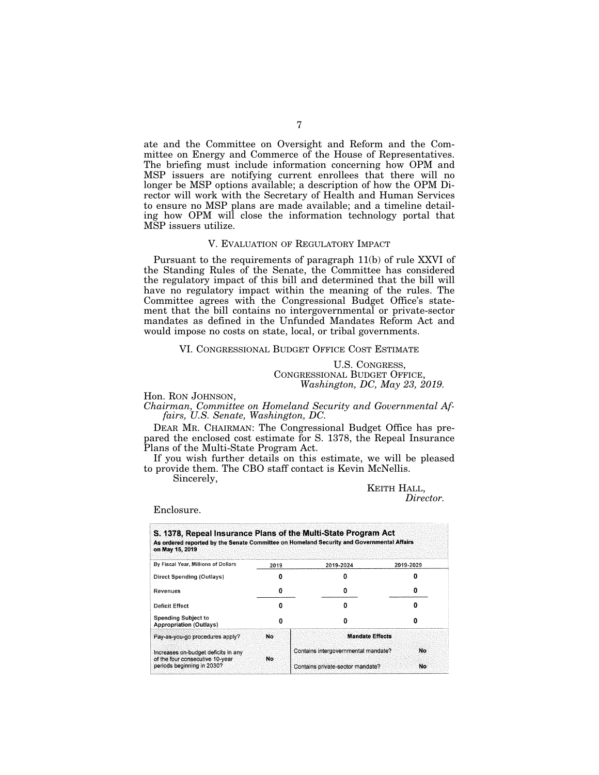ate and the Committee on Oversight and Reform and the Committee on Energy and Commerce of the House of Representatives. The briefing must include information concerning how OPM and MSP issuers are notifying current enrollees that there will no longer be MSP options available; a description of how the OPM Director will work with the Secretary of Health and Human Services to ensure no MSP plans are made available; and a timeline detailing how OPM will close the information technology portal that MSP issuers utilize.

# V. EVALUATION OF REGULATORY IMPACT

Pursuant to the requirements of paragraph 11(b) of rule XXVI of the Standing Rules of the Senate, the Committee has considered the regulatory impact of this bill and determined that the bill will have no regulatory impact within the meaning of the rules. The Committee agrees with the Congressional Budget Office's statement that the bill contains no intergovernmental or private-sector mandates as defined in the Unfunded Mandates Reform Act and would impose no costs on state, local, or tribal governments.

#### VI. CONGRESSIONAL BUDGET OFFICE COST ESTIMATE

U.S. CONGRESS, CONGRESSIONAL BUDGET OFFICE, *Washington, DC, May 23, 2019.* 

Hon. RON JOHNSON,

*Chairman, Committee on Homeland Security and Governmental Affairs, U.S. Senate, Washington, DC.* 

DEAR MR. CHAIRMAN: The Congressional Budget Office has prepared the enclosed cost estimate for S. 1378, the Repeal Insurance Plans of the Multi-State Program Act.

If you wish further details on this estimate, we will be pleased to provide them. The CBO staff contact is Kevin McNellis.

Sincerely,

KEITH HALL, *Director.* 

#### Enclosure.

| on May 15, 2019                                               |      | S. 1378, Repeal Insurance Plans of the Multi-State Program Act<br>As ordered reported by the Senate Committee on Homeland Security and Governmental Affairs |           |
|---------------------------------------------------------------|------|-------------------------------------------------------------------------------------------------------------------------------------------------------------|-----------|
| By Fiscal Year, Millions of Dollars                           | 2019 | 2019-2024                                                                                                                                                   | 2019-2029 |
| Direct Spending (Outlays)                                     |      |                                                                                                                                                             |           |
| Revenues                                                      | o    |                                                                                                                                                             |           |
| Deficit Effect                                                |      |                                                                                                                                                             |           |
| <b>Spending Subject to</b><br><b>Appropriation (Outlays)</b>  |      |                                                                                                                                                             |           |
| Pay-as-you-go procedures apply?                               | No.  | <b>Mandate Effects</b>                                                                                                                                      |           |
| Increases on-budget deficits in any                           |      | Contains intergovernmental mandate?                                                                                                                         | No.       |
| of the four consecutive 10-year<br>periods beginning in 2030? | No   | Contains private-sector mandate?                                                                                                                            | No        |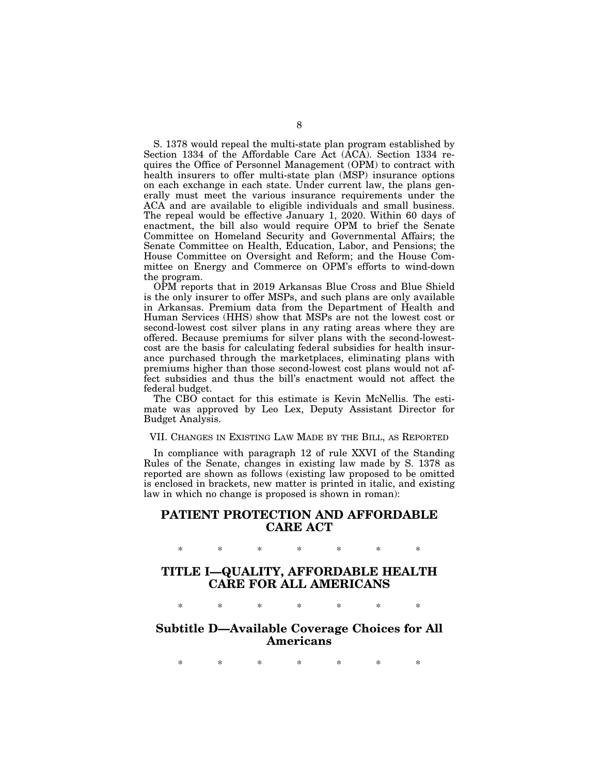S. 1378 would repeal the multi-state plan program established by Section 1334 of the Affordable Care Act (ACA). Section 1334 requires the Office of Personnel Management (OPM) to contract with health insurers to offer multi-state plan (MSP) insurance options on each exchange in each state. Under current law, the plans generally must meet the various insurance requirements under the ACA and are available to eligible individuals and small business. The repeal would be effective January 1, 2020. Within 60 days of enactment, the bill also would require OPM to brief the Senate Committee on Homeland Security and Governmental Affairs; the Senate Committee on Health, Education, Labor, and Pensions; the House Committee on Oversight and Reform; and the House Committee on Energy and Commerce on OPM's efforts to wind-down the program.

OPM reports that in 2019 Arkansas Blue Cross and Blue Shield is the only insurer to offer MSPs, and such plans are only available in Arkansas. Premium data from the Department of Health and Human Services (HHS) show that MSPs are not the lowest cost or second-lowest cost silver plans in any rating areas where they are offered. Because premiums for silver plans with the second-lowestcost are the basis for calculating federal subsidies for health insurance purchased through the marketplaces, eliminating plans with premiums higher than those second-lowest cost plans would not affect subsidies and thus the bill's enactment would not affect the federal budget.

The CBO contact for this estimate is Kevin McNellis. The estimate was approved by Leo Lex, Deputy Assistant Director for Budget Analysis.

#### VII. CHANGES IN EXISTING LAW MADE BY THE BILL, AS REPORTED

In compliance with paragraph 12 of rule XXVI of the Standing Rules of the Senate, changes in existing law made by S. 1378 as reported are shown as follows (existing law proposed to be omitted is enclosed in brackets, new matter is printed in italic, and existing law in which no change is proposed is shown in roman):

# **PATIENT PROTECTION AND AFFORDABLE CARE ACT**

**TITLE I—QUALITY, AFFORDABLE HEALTH CARE FOR ALL AMERICANS** 

\* \* \* \* \* \* \*

\* \* \* \* \* \* \*

# **Subtitle D—Available Coverage Choices for All Americans**

\* \* \* \* \* \* \*